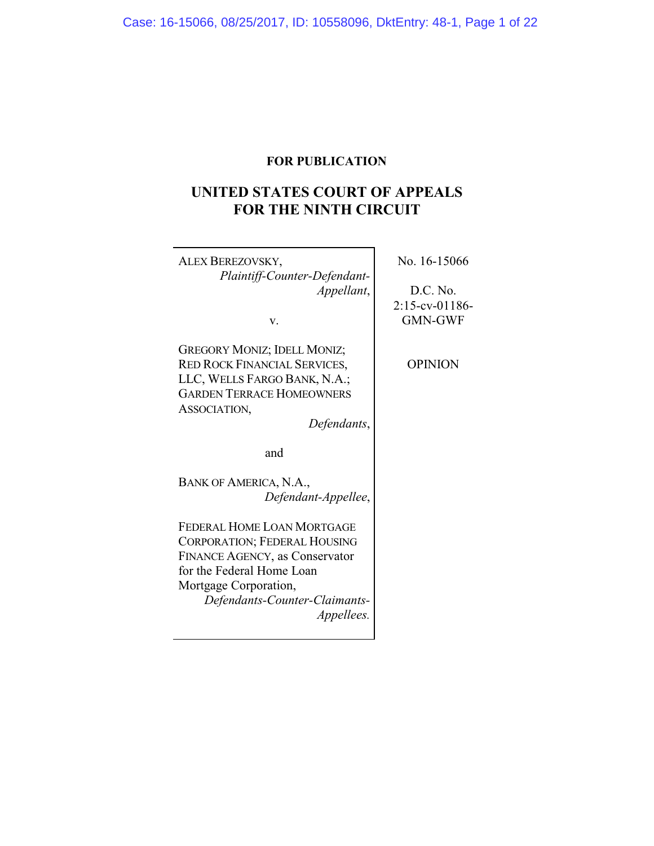# **FOR PUBLICATION**

# **UNITED STATES COURT OF APPEALS FOR THE NINTH CIRCUIT**

 $\overline{\mathbf{1}}$ 

| ALEX BEREZOVSKY,                      | No. 16-15066      |
|---------------------------------------|-------------------|
| Plaintiff-Counter-Defendant-          |                   |
| Appellant,                            | D.C. No.          |
|                                       | $2:15$ -cv-01186- |
| v.                                    | <b>GMN-GWF</b>    |
|                                       |                   |
| <b>GREGORY MONIZ; IDELL MONIZ;</b>    |                   |
| <b>RED ROCK FINANCIAL SERVICES,</b>   | <b>OPINION</b>    |
| LLC, WELLS FARGO BANK, N.A.;          |                   |
| <b>GARDEN TERRACE HOMEOWNERS</b>      |                   |
| ASSOCIATION,                          |                   |
| Defendants,                           |                   |
|                                       |                   |
| and                                   |                   |
| BANK OF AMERICA, N.A.,                |                   |
|                                       |                   |
| Defendant-Appellee,                   |                   |
| FEDERAL HOME LOAN MORTGAGE            |                   |
| <b>CORPORATION; FEDERAL HOUSING</b>   |                   |
| <b>FINANCE AGENCY, as Conservator</b> |                   |
| for the Federal Home Loan             |                   |
| Mortgage Corporation,                 |                   |
| Defendants-Counter-Claimants-         |                   |
| Appellees.                            |                   |
|                                       |                   |
|                                       |                   |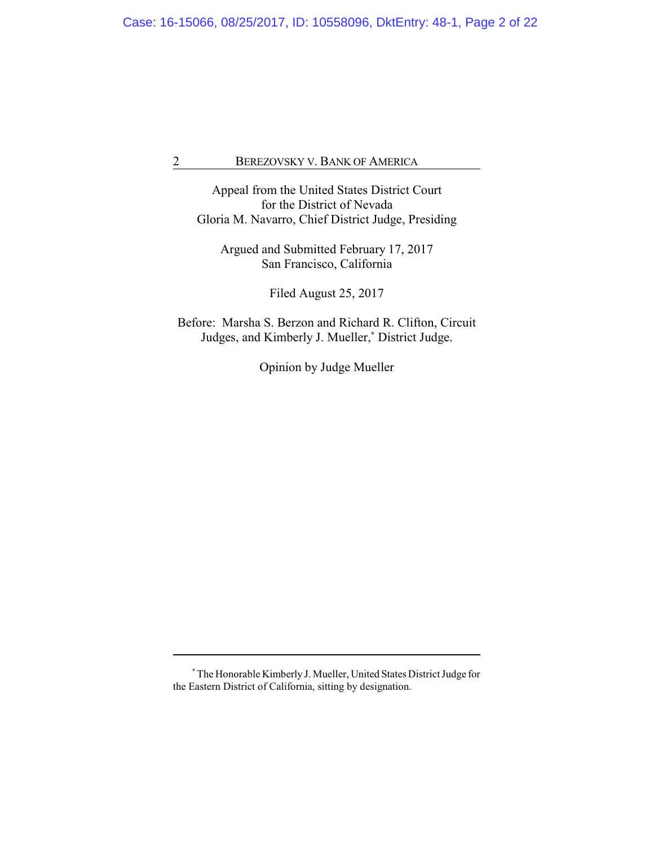Appeal from the United States District Court for the District of Nevada Gloria M. Navarro, Chief District Judge, Presiding

Argued and Submitted February 17, 2017 San Francisco, California

Filed August 25, 2017

Before: Marsha S. Berzon and Richard R. Clifton, Circuit Judges, and Kimberly J. Mueller,**\*** District Judge.

Opinion by Judge Mueller

**<sup>\*</sup>**The Honorable Kimberly J. Mueller, United States District Judge for the Eastern District of California, sitting by designation.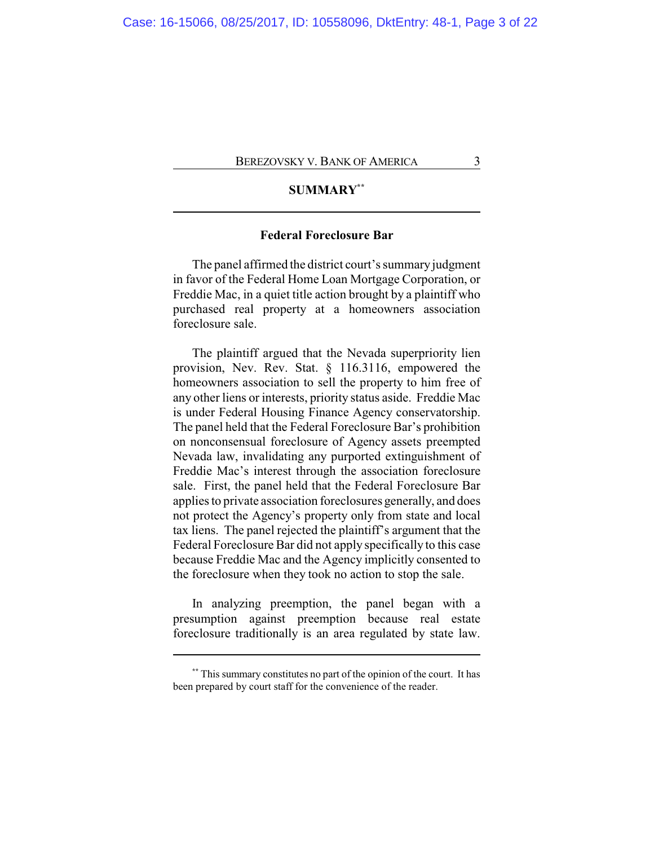# **SUMMARY\*\***

# **Federal Foreclosure Bar**

The panel affirmed the district court's summary judgment in favor of the Federal Home Loan Mortgage Corporation, or Freddie Mac, in a quiet title action brought by a plaintiff who purchased real property at a homeowners association foreclosure sale.

The plaintiff argued that the Nevada superpriority lien provision, Nev. Rev. Stat. § 116.3116, empowered the homeowners association to sell the property to him free of any other liens or interests, priority status aside. Freddie Mac is under Federal Housing Finance Agency conservatorship. The panel held that the Federal Foreclosure Bar's prohibition on nonconsensual foreclosure of Agency assets preempted Nevada law, invalidating any purported extinguishment of Freddie Mac's interest through the association foreclosure sale. First, the panel held that the Federal Foreclosure Bar applies to private association foreclosures generally, and does not protect the Agency's property only from state and local tax liens. The panel rejected the plaintiff's argument that the Federal Foreclosure Bar did not apply specifically to this case because Freddie Mac and the Agency implicitly consented to the foreclosure when they took no action to stop the sale.

In analyzing preemption, the panel began with a presumption against preemption because real estate foreclosure traditionally is an area regulated by state law.

**<sup>\*\*</sup>** This summary constitutes no part of the opinion of the court. It has been prepared by court staff for the convenience of the reader.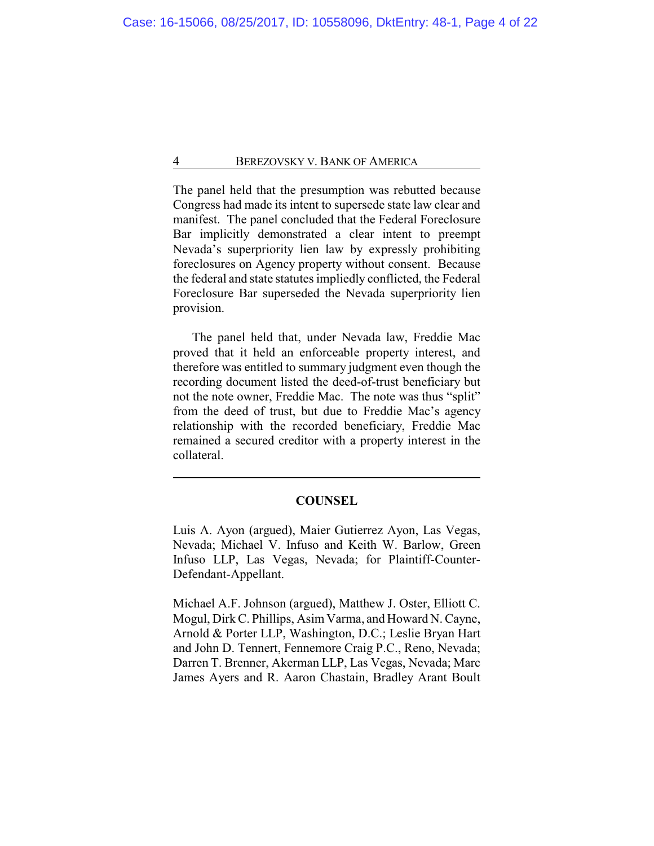The panel held that the presumption was rebutted because Congress had made its intent to supersede state law clear and manifest. The panel concluded that the Federal Foreclosure Bar implicitly demonstrated a clear intent to preempt Nevada's superpriority lien law by expressly prohibiting foreclosures on Agency property without consent. Because the federal and state statutes impliedly conflicted, the Federal Foreclosure Bar superseded the Nevada superpriority lien provision.

The panel held that, under Nevada law, Freddie Mac proved that it held an enforceable property interest, and therefore was entitled to summary judgment even though the recording document listed the deed-of-trust beneficiary but not the note owner, Freddie Mac. The note was thus "split" from the deed of trust, but due to Freddie Mac's agency relationship with the recorded beneficiary, Freddie Mac remained a secured creditor with a property interest in the collateral.

## **COUNSEL**

Luis A. Ayon (argued), Maier Gutierrez Ayon, Las Vegas, Nevada; Michael V. Infuso and Keith W. Barlow, Green Infuso LLP, Las Vegas, Nevada; for Plaintiff-Counter-Defendant-Appellant.

Michael A.F. Johnson (argued), Matthew J. Oster, Elliott C. Mogul, Dirk C. Phillips, Asim Varma, and Howard N. Cayne, Arnold & Porter LLP, Washington, D.C.; Leslie Bryan Hart and John D. Tennert, Fennemore Craig P.C., Reno, Nevada; Darren T. Brenner, Akerman LLP, Las Vegas, Nevada; Marc James Ayers and R. Aaron Chastain, Bradley Arant Boult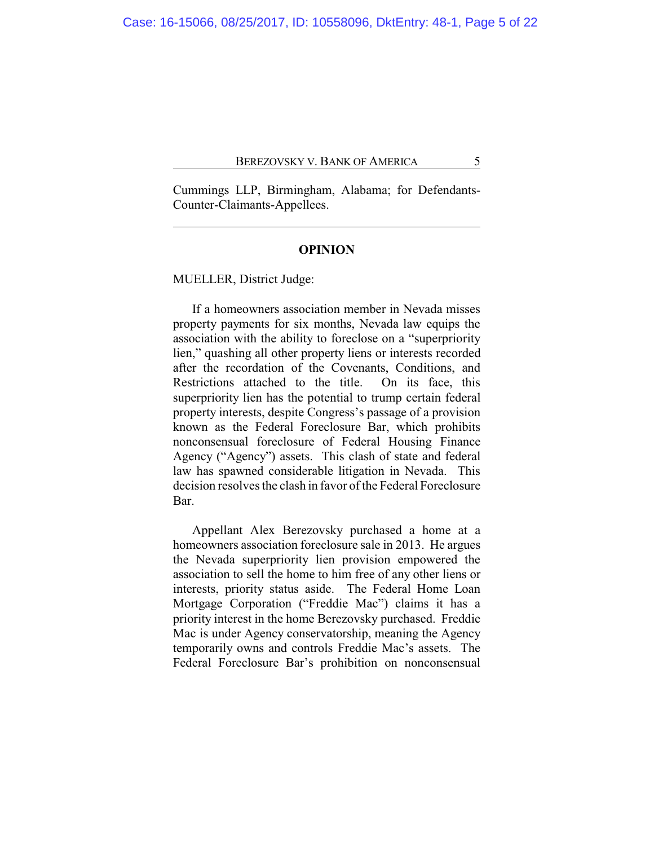Cummings LLP, Birmingham, Alabama; for Defendants-Counter-Claimants-Appellees.

## **OPINION**

MUELLER, District Judge:

If a homeowners association member in Nevada misses property payments for six months, Nevada law equips the association with the ability to foreclose on a "superpriority lien," quashing all other property liens or interests recorded after the recordation of the Covenants, Conditions, and Restrictions attached to the title. On its face, this superpriority lien has the potential to trump certain federal property interests, despite Congress's passage of a provision known as the Federal Foreclosure Bar, which prohibits nonconsensual foreclosure of Federal Housing Finance Agency ("Agency") assets. This clash of state and federal law has spawned considerable litigation in Nevada. This decision resolves the clash in favor of the Federal Foreclosure Bar.

Appellant Alex Berezovsky purchased a home at a homeowners association foreclosure sale in 2013. He argues the Nevada superpriority lien provision empowered the association to sell the home to him free of any other liens or interests, priority status aside. The Federal Home Loan Mortgage Corporation ("Freddie Mac") claims it has a priority interest in the home Berezovsky purchased. Freddie Mac is under Agency conservatorship, meaning the Agency temporarily owns and controls Freddie Mac's assets. The Federal Foreclosure Bar's prohibition on nonconsensual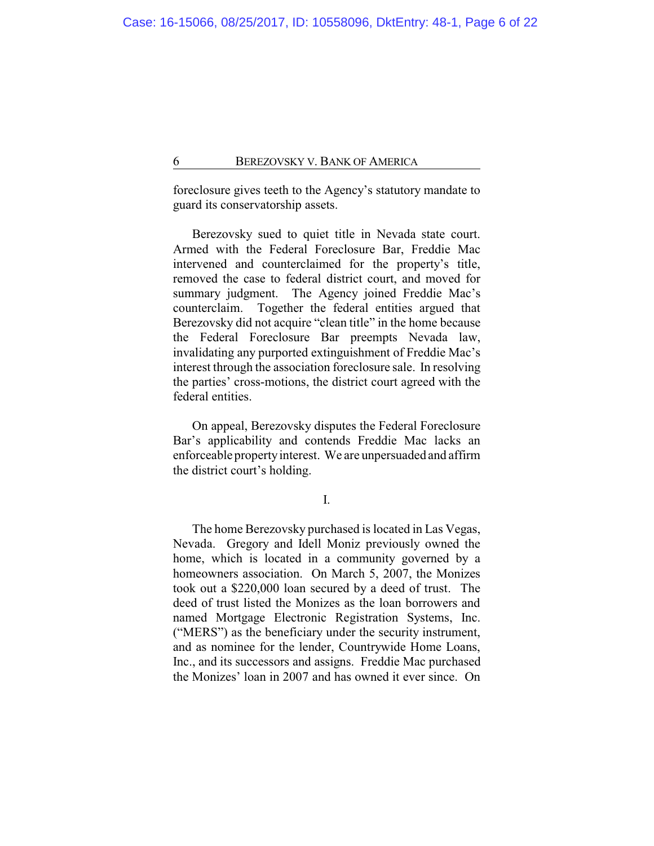foreclosure gives teeth to the Agency's statutory mandate to guard its conservatorship assets.

Berezovsky sued to quiet title in Nevada state court. Armed with the Federal Foreclosure Bar, Freddie Mac intervened and counterclaimed for the property's title, removed the case to federal district court, and moved for summary judgment. The Agency joined Freddie Mac's counterclaim. Together the federal entities argued that Berezovsky did not acquire "clean title" in the home because the Federal Foreclosure Bar preempts Nevada law, invalidating any purported extinguishment of Freddie Mac's interest through the association foreclosure sale. In resolving the parties' cross-motions, the district court agreed with the federal entities.

On appeal, Berezovsky disputes the Federal Foreclosure Bar's applicability and contends Freddie Mac lacks an enforceable propertyinterest. We are unpersuaded and affirm the district court's holding.

I.

The home Berezovsky purchased is located in Las Vegas, Nevada. Gregory and Idell Moniz previously owned the home, which is located in a community governed by a homeowners association. On March 5, 2007, the Monizes took out a \$220,000 loan secured by a deed of trust. The deed of trust listed the Monizes as the loan borrowers and named Mortgage Electronic Registration Systems, Inc. ("MERS") as the beneficiary under the security instrument, and as nominee for the lender, Countrywide Home Loans, Inc., and its successors and assigns. Freddie Mac purchased the Monizes' loan in 2007 and has owned it ever since. On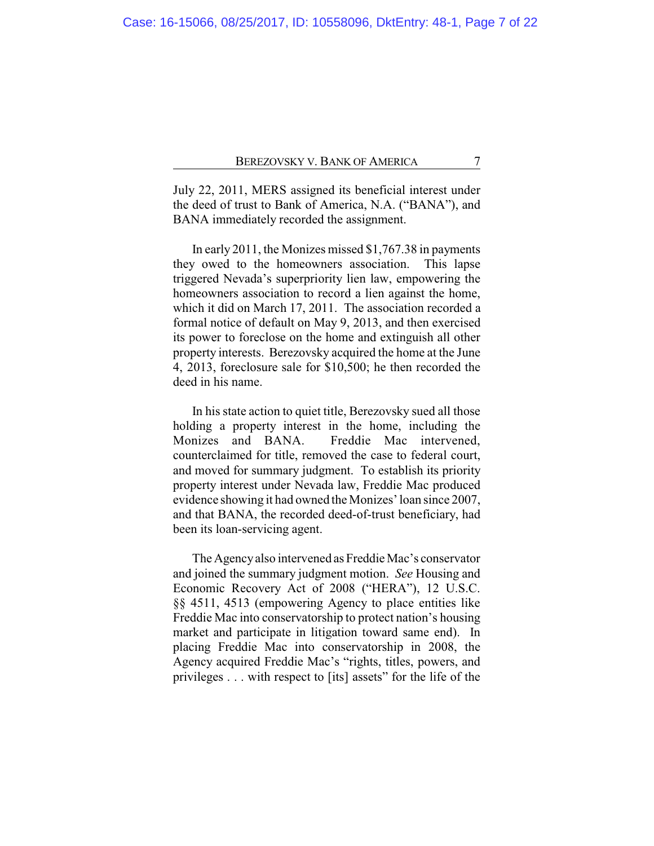July 22, 2011, MERS assigned its beneficial interest under the deed of trust to Bank of America, N.A. ("BANA"), and BANA immediately recorded the assignment.

In early 2011, the Monizes missed \$1,767.38 in payments they owed to the homeowners association. This lapse triggered Nevada's superpriority lien law, empowering the homeowners association to record a lien against the home, which it did on March 17, 2011. The association recorded a formal notice of default on May 9, 2013, and then exercised its power to foreclose on the home and extinguish all other property interests. Berezovsky acquired the home at the June 4, 2013, foreclosure sale for \$10,500; he then recorded the deed in his name.

In his state action to quiet title, Berezovsky sued all those holding a property interest in the home, including the Monizes and BANA. Freddie Mac intervened, counterclaimed for title, removed the case to federal court, and moved for summary judgment. To establish its priority property interest under Nevada law, Freddie Mac produced evidence showing it had owned the Monizes' loan since 2007, and that BANA, the recorded deed-of-trust beneficiary, had been its loan-servicing agent.

The Agencyalso intervened as Freddie Mac's conservator and joined the summary judgment motion. *See* Housing and Economic Recovery Act of 2008 ("HERA"), 12 U.S.C. §§ 4511, 4513 (empowering Agency to place entities like Freddie Mac into conservatorship to protect nation's housing market and participate in litigation toward same end). In placing Freddie Mac into conservatorship in 2008, the Agency acquired Freddie Mac's "rights, titles, powers, and privileges . . . with respect to [its] assets" for the life of the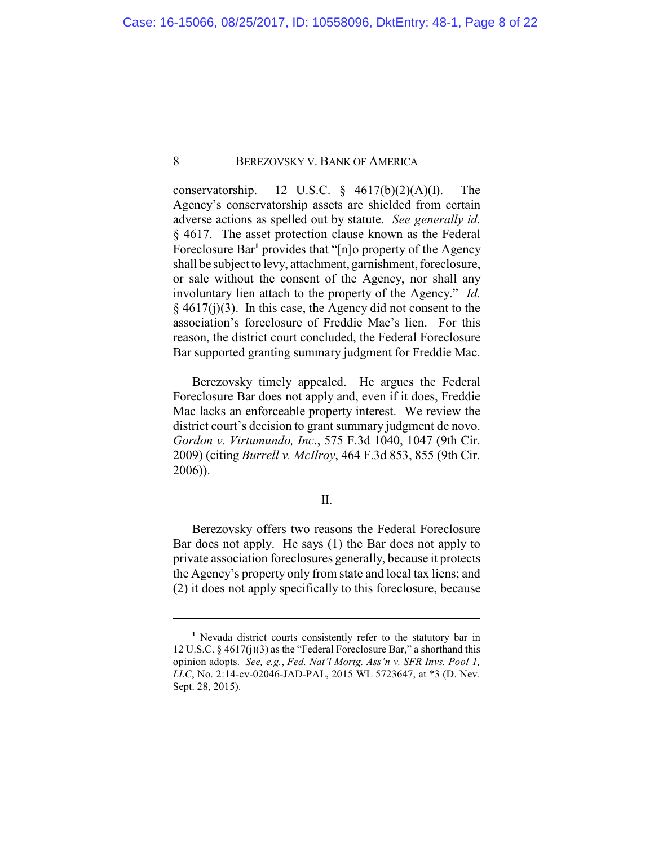conservatorship. 12 U.S.C.  $\S$  4617(b)(2)(A)(I). The Agency's conservatorship assets are shielded from certain adverse actions as spelled out by statute. *See generally id.* § 4617. The asset protection clause known as the Federal Foreclosure Bar<sup>1</sup> provides that "[n]o property of the Agency shall be subject to levy, attachment, garnishment, foreclosure, or sale without the consent of the Agency, nor shall any involuntary lien attach to the property of the Agency." *Id.*  $§$  4617(j)(3). In this case, the Agency did not consent to the association's foreclosure of Freddie Mac's lien. For this reason, the district court concluded, the Federal Foreclosure Bar supported granting summary judgment for Freddie Mac.

Berezovsky timely appealed. He argues the Federal Foreclosure Bar does not apply and, even if it does, Freddie Mac lacks an enforceable property interest. We review the district court's decision to grant summary judgment de novo. *Gordon v. Virtumundo, Inc*., 575 F.3d 1040, 1047 (9th Cir. 2009) (citing *Burrell v. McIlroy*, 464 F.3d 853, 855 (9th Cir. 2006)).

# II.

Berezovsky offers two reasons the Federal Foreclosure Bar does not apply. He says (1) the Bar does not apply to private association foreclosures generally, because it protects the Agency's property only from state and local tax liens; and (2) it does not apply specifically to this foreclosure, because

**<sup>1</sup>** Nevada district courts consistently refer to the statutory bar in 12 U.S.C. § 4617(j)(3) as the "Federal Foreclosure Bar," a shorthand this opinion adopts. *See, e.g.*, *Fed. Nat'l Mortg. Ass'n v. SFR Invs. Pool 1, LLC*, No. 2:14-cv-02046-JAD-PAL, 2015 WL 5723647, at \*3 (D. Nev. Sept. 28, 2015).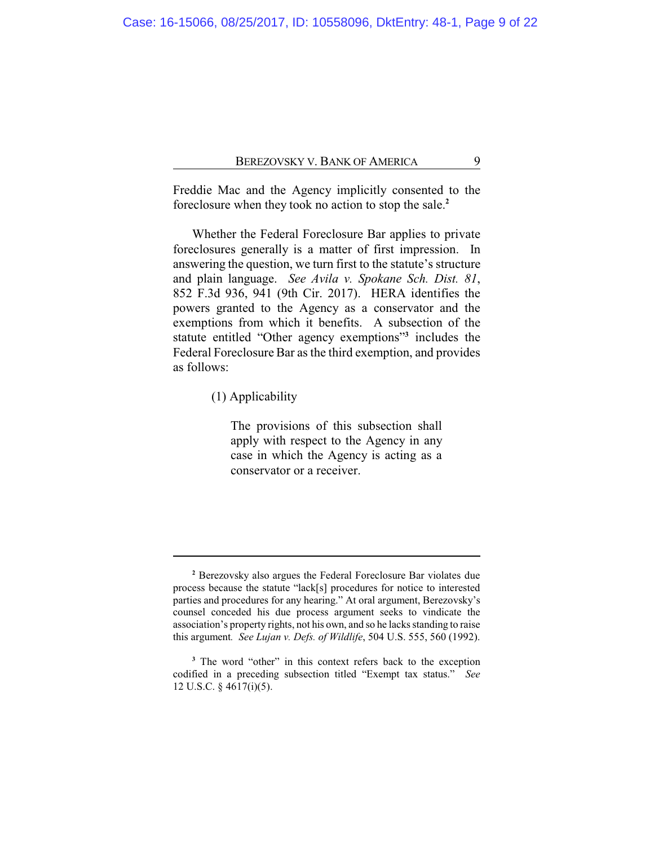Freddie Mac and the Agency implicitly consented to the foreclosure when they took no action to stop the sale.**<sup>2</sup>**

Whether the Federal Foreclosure Bar applies to private foreclosures generally is a matter of first impression. In answering the question, we turn first to the statute's structure and plain language. *See Avila v. Spokane Sch. Dist. 81*, 852 F.3d 936, 941 (9th Cir. 2017). HERA identifies the powers granted to the Agency as a conservator and the exemptions from which it benefits. A subsection of the statute entitled "Other agency exemptions"**<sup>3</sup>** includes the Federal Foreclosure Bar as the third exemption, and provides as follows:

(1) Applicability

The provisions of this subsection shall apply with respect to the Agency in any case in which the Agency is acting as a conservator or a receiver.

**<sup>2</sup>** Berezovsky also argues the Federal Foreclosure Bar violates due process because the statute "lack[s] procedures for notice to interested parties and procedures for any hearing." At oral argument, Berezovsky's counsel conceded his due process argument seeks to vindicate the association's property rights, not his own, and so he lacks standing to raise this argument*. See Lujan v. Defs. of Wildlife*, 504 U.S. 555, 560 (1992).

**<sup>3</sup>** The word "other" in this context refers back to the exception codified in a preceding subsection titled "Exempt tax status." *See* 12 U.S.C. § 4617(i)(5).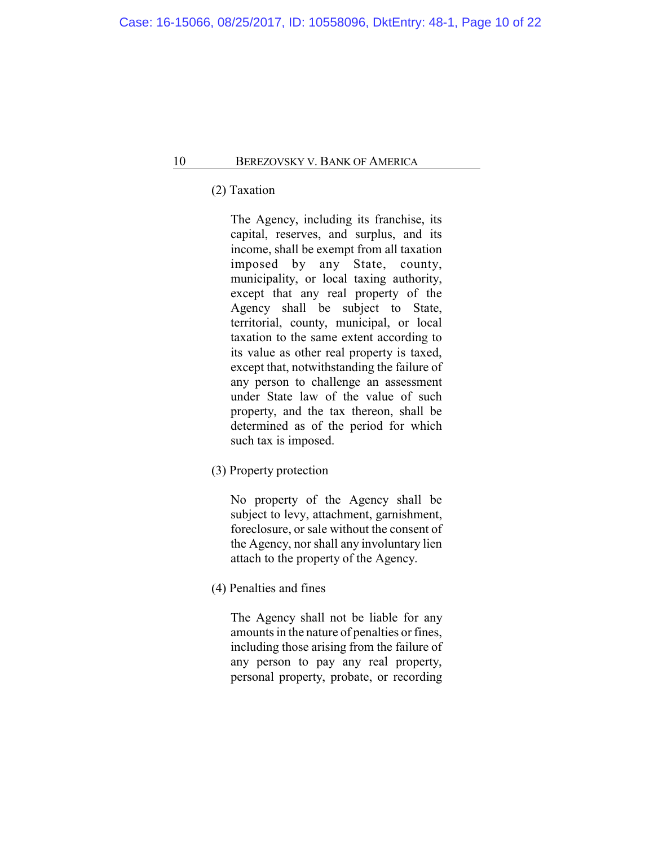(2) Taxation

The Agency, including its franchise, its capital, reserves, and surplus, and its income, shall be exempt from all taxation imposed by any State, county, municipality, or local taxing authority, except that any real property of the Agency shall be subject to State, territorial, county, municipal, or local taxation to the same extent according to its value as other real property is taxed, except that, notwithstanding the failure of any person to challenge an assessment under State law of the value of such property, and the tax thereon, shall be determined as of the period for which such tax is imposed.

(3) Property protection

No property of the Agency shall be subject to levy, attachment, garnishment, foreclosure, or sale without the consent of the Agency, nor shall any involuntary lien attach to the property of the Agency.

(4) Penalties and fines

The Agency shall not be liable for any amounts in the nature of penalties or fines, including those arising from the failure of any person to pay any real property, personal property, probate, or recording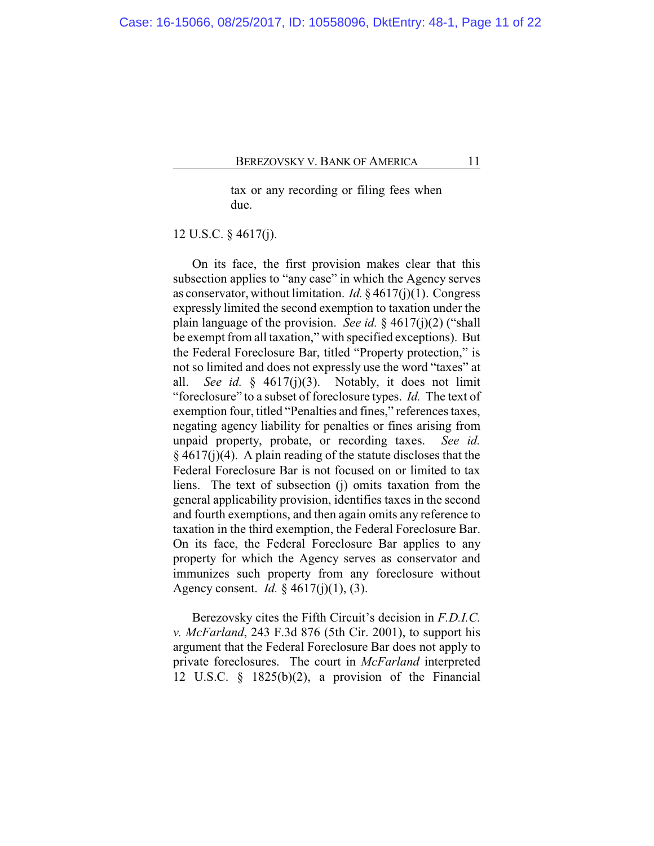tax or any recording or filing fees when due.

12 U.S.C. § 4617(j).

On its face, the first provision makes clear that this subsection applies to "any case" in which the Agency serves as conservator, without limitation. *Id.* § 4617(j)(1). Congress expressly limited the second exemption to taxation under the plain language of the provision. *See id.* § 4617(j)(2) ("shall be exempt from all taxation," with specified exceptions). But the Federal Foreclosure Bar, titled "Property protection," is not so limited and does not expressly use the word "taxes" at all. *See id.* § 4617(j)(3). Notably, it does not limit "foreclosure" to a subset of foreclosure types. *Id.* The text of exemption four, titled "Penalties and fines," references taxes, negating agency liability for penalties or fines arising from unpaid property, probate, or recording taxes. *See id.*  $§$  4617(j)(4). A plain reading of the statute discloses that the Federal Foreclosure Bar is not focused on or limited to tax liens. The text of subsection (j) omits taxation from the general applicability provision, identifies taxes in the second and fourth exemptions, and then again omits any reference to taxation in the third exemption, the Federal Foreclosure Bar. On its face, the Federal Foreclosure Bar applies to any property for which the Agency serves as conservator and immunizes such property from any foreclosure without Agency consent. *Id.* § 4617(j)(1), (3).

Berezovsky cites the Fifth Circuit's decision in *F.D.I.C. v. McFarland*, 243 F.3d 876 (5th Cir. 2001), to support his argument that the Federal Foreclosure Bar does not apply to private foreclosures. The court in *McFarland* interpreted 12 U.S.C. § 1825(b)(2), a provision of the Financial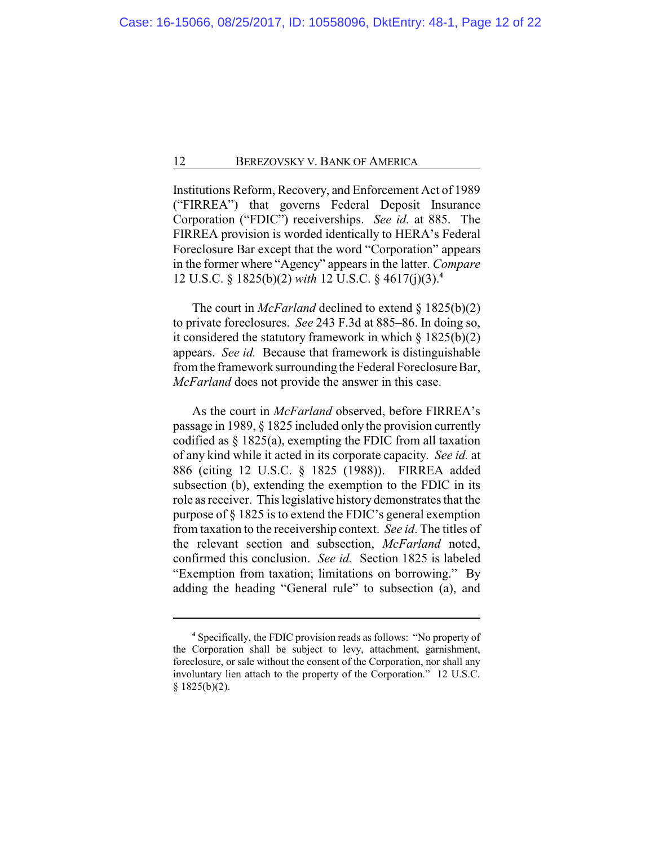Institutions Reform, Recovery, and Enforcement Act of 1989 ("FIRREA") that governs Federal Deposit Insurance Corporation ("FDIC") receiverships. *See id.* at 885. The FIRREA provision is worded identically to HERA's Federal Foreclosure Bar except that the word "Corporation" appears in the former where "Agency" appears in the latter. *Compare* 12 U.S.C. § 1825(b)(2) *with* 12 U.S.C. § 4617(j)(3).**<sup>4</sup>**

The court in *McFarland* declined to extend § 1825(b)(2) to private foreclosures. *See* 243 F.3d at 885–86. In doing so, it considered the statutory framework in which  $\S 1825(b)(2)$ appears. *See id.* Because that framework is distinguishable from the framework surrounding the Federal Foreclosure Bar, *McFarland* does not provide the answer in this case.

As the court in *McFarland* observed, before FIRREA's passage in 1989, § 1825 included only the provision currently codified as § 1825(a), exempting the FDIC from all taxation of any kind while it acted in its corporate capacity. *See id.* at 886 (citing 12 U.S.C. § 1825 (1988)). FIRREA added subsection (b), extending the exemption to the FDIC in its role as receiver. This legislative history demonstrates that the purpose of § 1825 is to extend the FDIC's general exemption from taxation to the receivership context. *See id*. The titles of the relevant section and subsection, *McFarland* noted, confirmed this conclusion. *See id.* Section 1825 is labeled "Exemption from taxation; limitations on borrowing." By adding the heading "General rule" to subsection (a), and

**<sup>4</sup>** Specifically, the FDIC provision reads as follows: "No property of the Corporation shall be subject to levy, attachment, garnishment, foreclosure, or sale without the consent of the Corporation, nor shall any involuntary lien attach to the property of the Corporation." 12 U.S.C.  $§ 1825(b)(2).$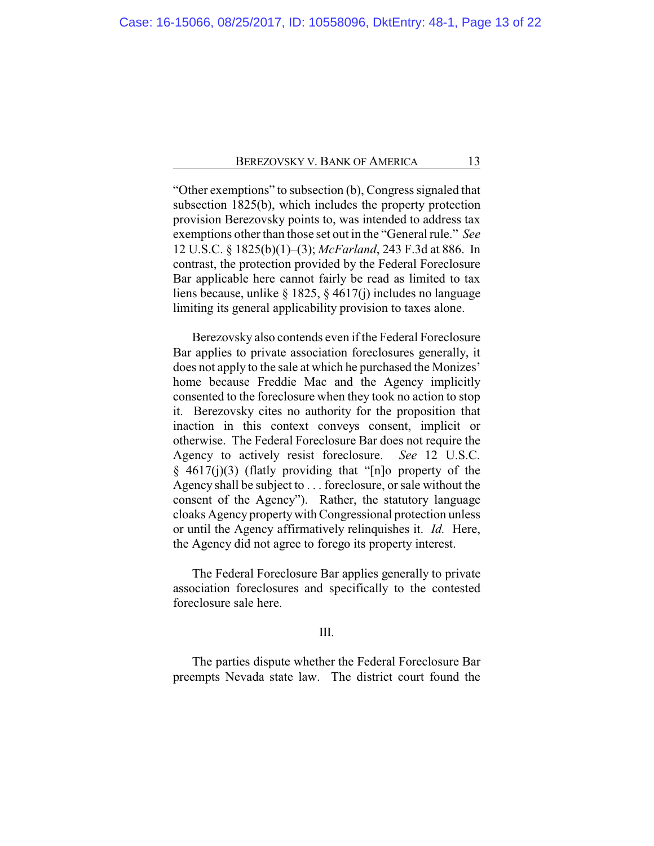"Other exemptions" to subsection (b), Congress signaled that subsection 1825(b), which includes the property protection provision Berezovsky points to, was intended to address tax exemptions other than those set out in the "General rule." *See* 12 U.S.C. § 1825(b)(1)–(3); *McFarland*, 243 F.3d at 886. In contrast, the protection provided by the Federal Foreclosure Bar applicable here cannot fairly be read as limited to tax liens because, unlike § 1825, § 4617(j) includes no language limiting its general applicability provision to taxes alone.

Berezovsky also contends even if the Federal Foreclosure Bar applies to private association foreclosures generally, it does not apply to the sale at which he purchased the Monizes' home because Freddie Mac and the Agency implicitly consented to the foreclosure when they took no action to stop it. Berezovsky cites no authority for the proposition that inaction in this context conveys consent, implicit or otherwise. The Federal Foreclosure Bar does not require the Agency to actively resist foreclosure. *See* 12 U.S.C.  $§$  4617(j)(3) (flatly providing that "[n]o property of the Agency shall be subject to . . . foreclosure, or sale without the consent of the Agency"). Rather, the statutory language cloaks Agency propertywith Congressional protection unless or until the Agency affirmatively relinquishes it. *Id.* Here, the Agency did not agree to forego its property interest.

The Federal Foreclosure Bar applies generally to private association foreclosures and specifically to the contested foreclosure sale here.

## III.

The parties dispute whether the Federal Foreclosure Bar preempts Nevada state law. The district court found the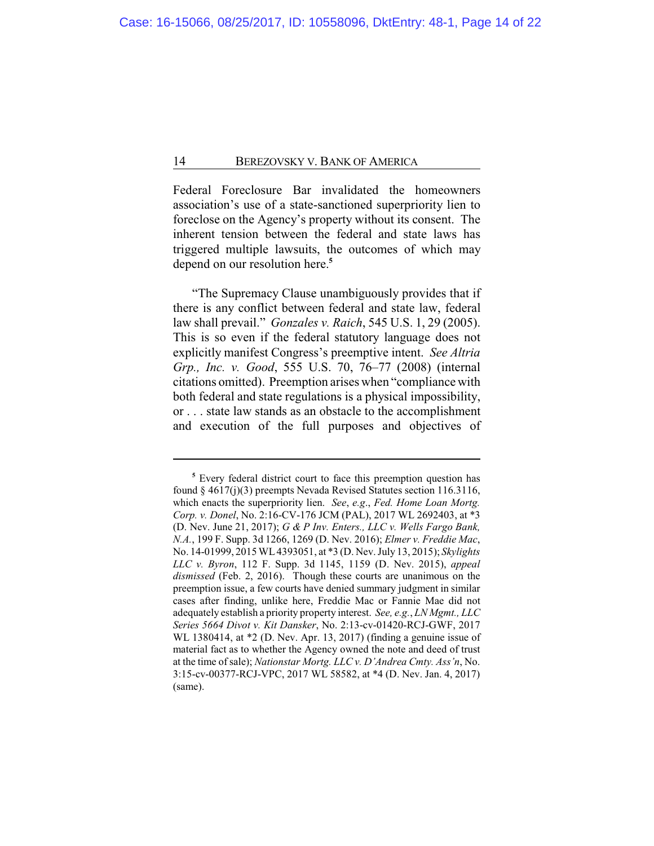Federal Foreclosure Bar invalidated the homeowners association's use of a state-sanctioned superpriority lien to foreclose on the Agency's property without its consent. The inherent tension between the federal and state laws has triggered multiple lawsuits, the outcomes of which may depend on our resolution here.**<sup>5</sup>**

"The Supremacy Clause unambiguously provides that if there is any conflict between federal and state law, federal law shall prevail." *Gonzales v. Raich*, 545 U.S. 1, 29 (2005). This is so even if the federal statutory language does not explicitly manifest Congress's preemptive intent. *See Altria Grp., Inc. v. Good*, 555 U.S. 70, 76–77 (2008) (internal citations omitted). Preemption arises when "compliance with both federal and state regulations is a physical impossibility, or . . . state law stands as an obstacle to the accomplishment and execution of the full purposes and objectives of

**<sup>5</sup>** Every federal district court to face this preemption question has found § 4617(j)(3) preempts Nevada Revised Statutes section 116.3116, which enacts the superpriority lien. *See*, *e.g*., *Fed. Home Loan Mortg. Corp. v. Donel*, No. 2:16-CV-176 JCM (PAL), 2017 WL 2692403, at \*3 (D. Nev. June 21, 2017); *G & P Inv. Enters., LLC v. Wells Fargo Bank, N.A.*, 199 F. Supp. 3d 1266, 1269 (D. Nev. 2016); *Elmer v. Freddie Mac*, No. 14-01999, 2015WL4393051, at \*3 (D. Nev. July 13, 2015); *Skylights LLC v. Byron*, 112 F. Supp. 3d 1145, 1159 (D. Nev. 2015), *appeal dismissed* (Feb. 2, 2016). Though these courts are unanimous on the preemption issue, a few courts have denied summary judgment in similar cases after finding, unlike here, Freddie Mac or Fannie Mae did not adequately establish a priority property interest. *See, e.g.*, *LN Mgmt., LLC Series 5664 Divot v. Kit Dansker*, No. 2:13-cv-01420-RCJ-GWF, 2017 WL 1380414, at \*2 (D. Nev. Apr. 13, 2017) (finding a genuine issue of material fact as to whether the Agency owned the note and deed of trust at the time ofsale); *Nationstar Mortg. LLC v. D'Andrea Cmty. Ass'n*, No. 3:15-cv-00377-RCJ-VPC, 2017 WL 58582, at \*4 (D. Nev. Jan. 4, 2017) (same).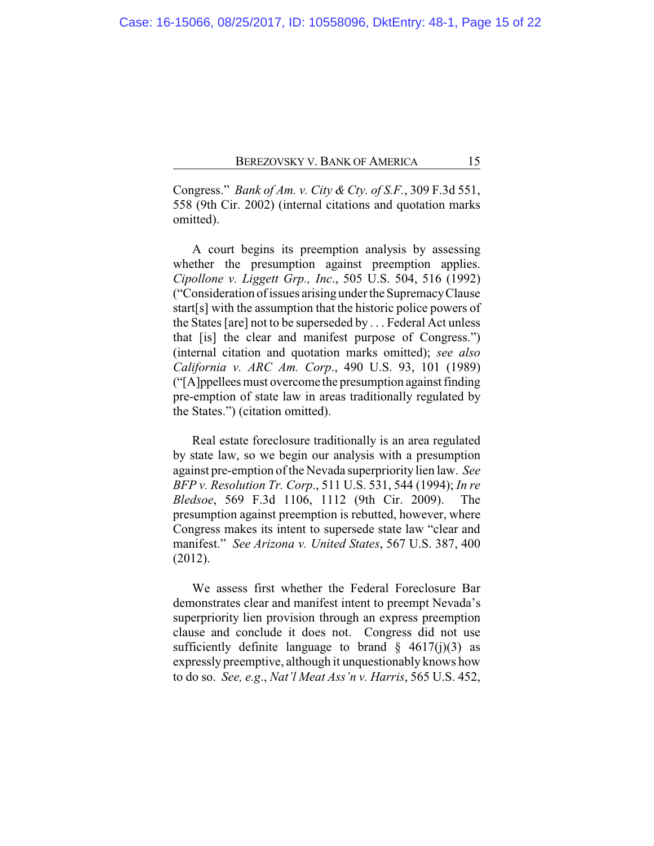Congress." *Bank of Am. v. City & Cty. of S.F.*, 309 F.3d 551, 558 (9th Cir. 2002) (internal citations and quotation marks omitted).

A court begins its preemption analysis by assessing whether the presumption against preemption applies. *Cipollone v. Liggett Grp., Inc*., 505 U.S. 504, 516 (1992) ("Consideration of issues arising under theSupremacyClause start[s] with the assumption that the historic police powers of the States [are] not to be superseded by . . . Federal Act unless that [is] the clear and manifest purpose of Congress.") (internal citation and quotation marks omitted); *see also California v. ARC Am. Corp*., 490 U.S. 93, 101 (1989) ("[A]ppellees must overcome the presumption against finding pre-emption of state law in areas traditionally regulated by the States.") (citation omitted).

Real estate foreclosure traditionally is an area regulated by state law, so we begin our analysis with a presumption against pre-emption of the Nevada superpriority lien law. *See BFP v. Resolution Tr. Corp*., 511 U.S. 531, 544 (1994); *In re Bledsoe*, 569 F.3d 1106, 1112 (9th Cir. 2009). The presumption against preemption is rebutted, however, where Congress makes its intent to supersede state law "clear and manifest." *See Arizona v. United States*, 567 U.S. 387, 400 (2012).

We assess first whether the Federal Foreclosure Bar demonstrates clear and manifest intent to preempt Nevada's superpriority lien provision through an express preemption clause and conclude it does not. Congress did not use sufficiently definite language to brand  $\S$  4617(j)(3) as expressly preemptive, although it unquestionably knows how to do so. *See, e.g*., *Nat'l Meat Ass'n v. Harris*, 565 U.S. 452,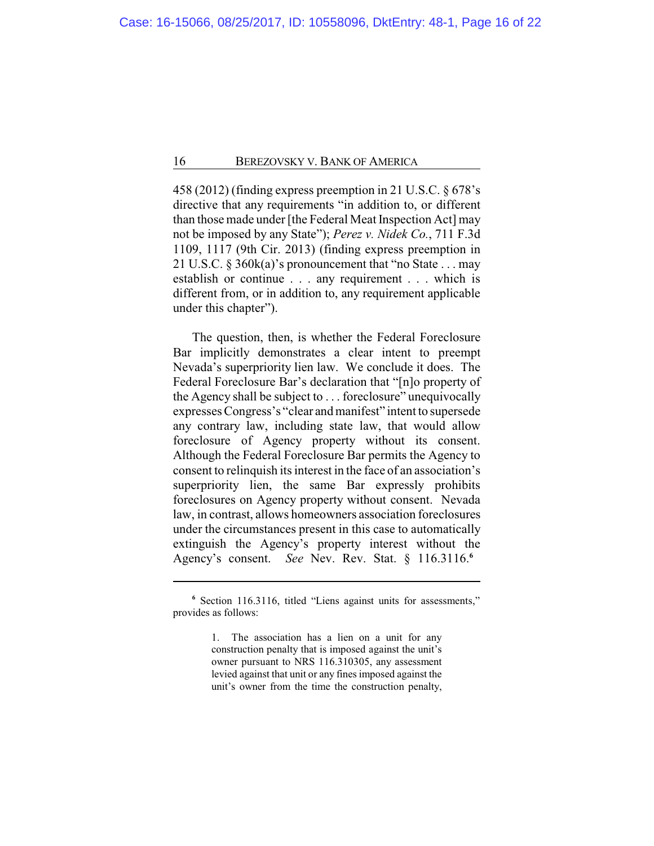458 (2012) (finding express preemption in 21 U.S.C. § 678's directive that any requirements "in addition to, or different than those made under [the Federal Meat Inspection Act] may not be imposed by any State"); *Perez v. Nidek Co.*, 711 F.3d 1109, 1117 (9th Cir. 2013) (finding express preemption in 21 U.S.C. § 360k(a)'s pronouncement that "no State . . . may establish or continue . . . any requirement . . . which is different from, or in addition to, any requirement applicable under this chapter").

The question, then, is whether the Federal Foreclosure Bar implicitly demonstrates a clear intent to preempt Nevada's superpriority lien law. We conclude it does. The Federal Foreclosure Bar's declaration that "[n]o property of the Agency shall be subject to . . . foreclosure" unequivocally expresses Congress's "clear and manifest" intent to supersede any contrary law, including state law, that would allow foreclosure of Agency property without its consent. Although the Federal Foreclosure Bar permits the Agency to consent to relinquish its interest in the face of an association's superpriority lien, the same Bar expressly prohibits foreclosures on Agency property without consent. Nevada law, in contrast, allows homeowners association foreclosures under the circumstances present in this case to automatically extinguish the Agency's property interest without the Agency's consent. *See* Nev. Rev. Stat. § 116.3116.**<sup>6</sup>**

**<sup>6</sup>** Section 116.3116, titled "Liens against units for assessments," provides as follows:

<sup>1.</sup> The association has a lien on a unit for any construction penalty that is imposed against the unit's owner pursuant to NRS 116.310305, any assessment levied against that unit or any fines imposed against the unit's owner from the time the construction penalty,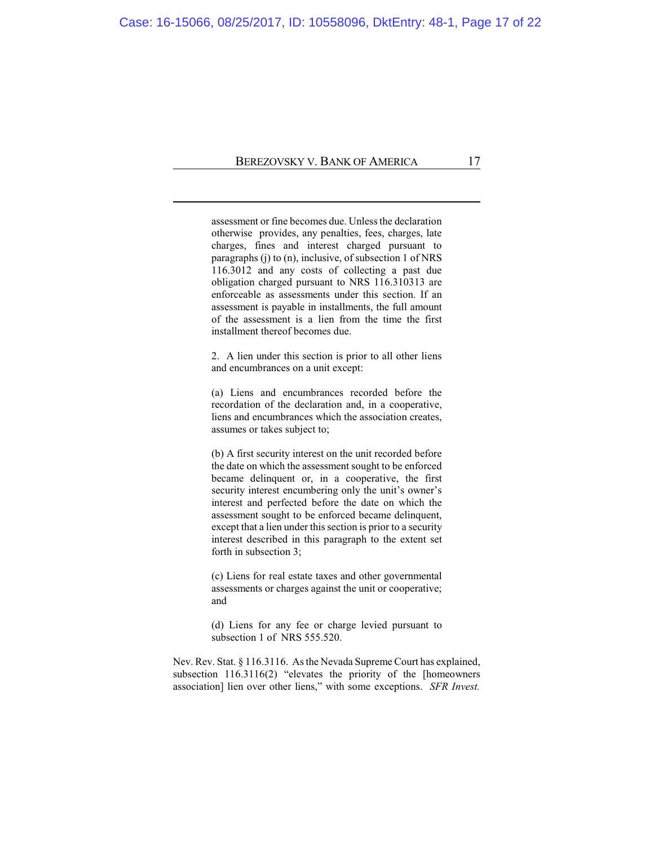assessment or fine becomes due. Unless the declaration otherwise provides, any penalties, fees, charges, late charges, fines and interest charged pursuant to paragraphs (j) to (n), inclusive, of subsection 1 of NRS 116.3012 and any costs of collecting a past due obligation charged pursuant to NRS 116.310313 are enforceable as assessments under this section. If an assessment is payable in installments, the full amount of the assessment is a lien from the time the first installment thereof becomes due.

2. A lien under this section is prior to all other liens and encumbrances on a unit except:

(a) Liens and encumbrances recorded before the recordation of the declaration and, in a cooperative, liens and encumbrances which the association creates, assumes or takes subject to;

(b) A first security interest on the unit recorded before the date on which the assessment sought to be enforced became delinquent or, in a cooperative, the first security interest encumbering only the unit's owner's interest and perfected before the date on which the assessment sought to be enforced became delinquent, except that a lien under this section is prior to a security interest described in this paragraph to the extent set forth in subsection 3;

(c) Liens for real estate taxes and other governmental assessments or charges against the unit or cooperative; and

(d) Liens for any fee or charge levied pursuant to subsection 1 of NRS 555.520.

Nev. Rev. Stat. § 116.3116. Asthe Nevada Supreme Court has explained, subsection 116.3116(2) "elevates the priority of the [homeowners association] lien over other liens," with some exceptions. *SFR Invest.*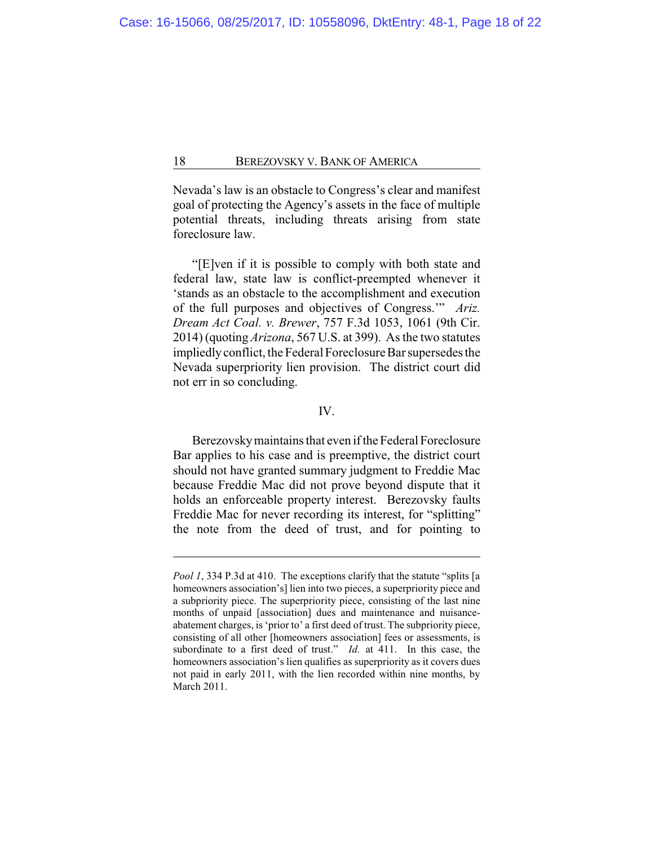Nevada's law is an obstacle to Congress's clear and manifest goal of protecting the Agency's assets in the face of multiple potential threats, including threats arising from state foreclosure law.

"[E]ven if it is possible to comply with both state and federal law, state law is conflict-preempted whenever it 'stands as an obstacle to the accomplishment and execution of the full purposes and objectives of Congress.'" *Ariz. Dream Act Coal. v. Brewer*, 757 F.3d 1053, 1061 (9th Cir. 2014) (quoting *Arizona*, 567 U.S. at 399). As the two statutes impliedlyconflict, the Federal Foreclosure Bar supersedes the Nevada superpriority lien provision. The district court did not err in so concluding.

# IV.

Berezovsky maintains that even if the Federal Foreclosure Bar applies to his case and is preemptive, the district court should not have granted summary judgment to Freddie Mac because Freddie Mac did not prove beyond dispute that it holds an enforceable property interest. Berezovsky faults Freddie Mac for never recording its interest, for "splitting" the note from the deed of trust, and for pointing to

*Pool 1*, 334 P.3d at 410. The exceptions clarify that the statute "splits [a homeowners association's] lien into two pieces, a superpriority piece and a subpriority piece. The superpriority piece, consisting of the last nine months of unpaid [association] dues and maintenance and nuisanceabatement charges, is 'prior to' a first deed of trust. The subpriority piece, consisting of all other [homeowners association] fees or assessments, is subordinate to a first deed of trust." *Id.* at 411. In this case, the homeowners association's lien qualifies as superpriority as it covers dues not paid in early 2011, with the lien recorded within nine months, by March 2011.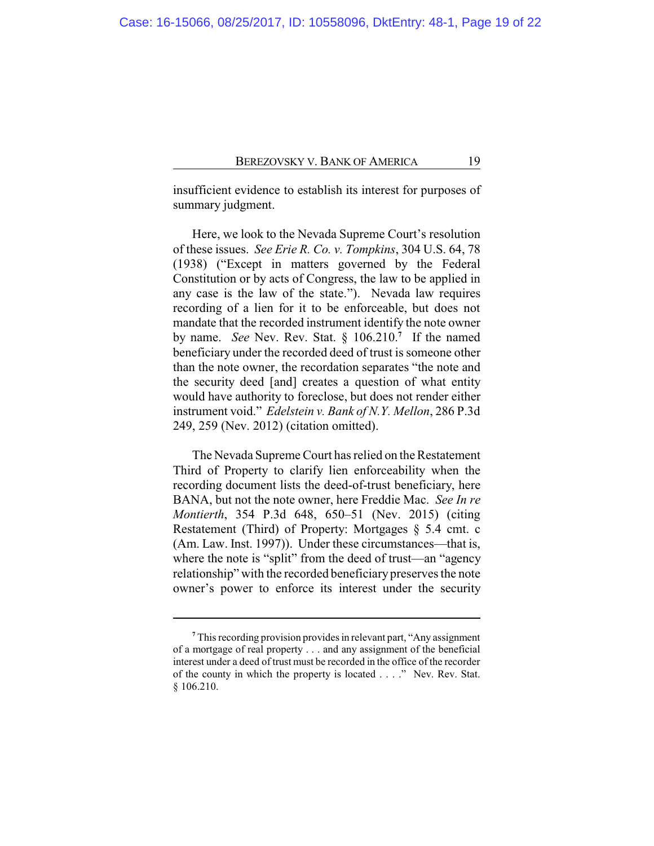insufficient evidence to establish its interest for purposes of summary judgment.

Here, we look to the Nevada Supreme Court's resolution of these issues. *See Erie R. Co. v. Tompkins*, 304 U.S. 64, 78 (1938) ("Except in matters governed by the Federal Constitution or by acts of Congress, the law to be applied in any case is the law of the state."). Nevada law requires recording of a lien for it to be enforceable, but does not mandate that the recorded instrument identify the note owner by name. *See* Nev. Rev. Stat. § 106.210.**<sup>7</sup>** If the named beneficiary under the recorded deed of trust is someone other than the note owner, the recordation separates "the note and the security deed [and] creates a question of what entity would have authority to foreclose, but does not render either instrument void." *Edelstein v. Bank of N.Y. Mellon*, 286 P.3d 249, 259 (Nev. 2012) (citation omitted).

The Nevada Supreme Court has relied on the Restatement Third of Property to clarify lien enforceability when the recording document lists the deed-of-trust beneficiary, here BANA, but not the note owner, here Freddie Mac. *See In re Montierth*, 354 P.3d 648, 650–51 (Nev. 2015) (citing Restatement (Third) of Property: Mortgages § 5.4 cmt. c (Am. Law. Inst. 1997)). Under these circumstances—that is, where the note is "split" from the deed of trust—an "agency relationship" with the recorded beneficiary preserves the note owner's power to enforce its interest under the security

**<sup>7</sup>** This recording provision provides in relevant part, "Any assignment of a mortgage of real property . . . and any assignment of the beneficial interest under a deed of trust must be recorded in the office of the recorder of the county in which the property is located . . . ." Nev. Rev. Stat. § 106.210.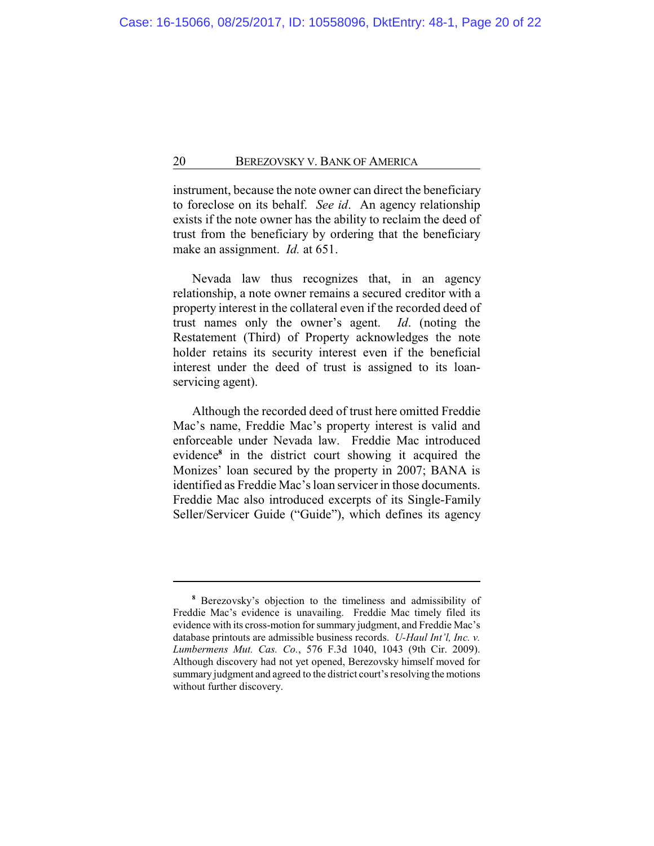instrument, because the note owner can direct the beneficiary to foreclose on its behalf. *See id*. An agency relationship exists if the note owner has the ability to reclaim the deed of trust from the beneficiary by ordering that the beneficiary make an assignment. *Id.* at 651.

Nevada law thus recognizes that, in an agency relationship, a note owner remains a secured creditor with a property interest in the collateral even if the recorded deed of trust names only the owner's agent. *Id*. (noting the Restatement (Third) of Property acknowledges the note holder retains its security interest even if the beneficial interest under the deed of trust is assigned to its loanservicing agent).

Although the recorded deed of trust here omitted Freddie Mac's name, Freddie Mac's property interest is valid and enforceable under Nevada law. Freddie Mac introduced evidence**<sup>8</sup>** in the district court showing it acquired the Monizes' loan secured by the property in 2007; BANA is identified as Freddie Mac's loan servicer in those documents. Freddie Mac also introduced excerpts of its Single-Family Seller/Servicer Guide ("Guide"), which defines its agency

**<sup>8</sup>** Berezovsky's objection to the timeliness and admissibility of Freddie Mac's evidence is unavailing. Freddie Mac timely filed its evidence with its cross-motion for summary judgment, and Freddie Mac's database printouts are admissible business records. *U-Haul Int'l, Inc. v. Lumbermens Mut. Cas. Co.*, 576 F.3d 1040, 1043 (9th Cir. 2009). Although discovery had not yet opened, Berezovsky himself moved for summary judgment and agreed to the district court's resolving the motions without further discovery.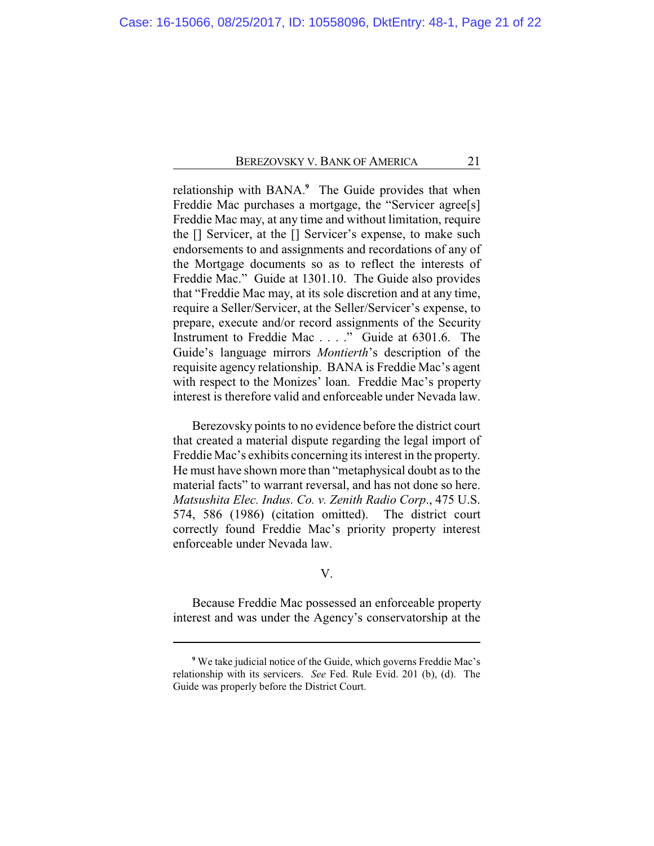relationship with BANA.**<sup>9</sup>** The Guide provides that when Freddie Mac purchases a mortgage, the "Servicer agree[s] Freddie Mac may, at any time and without limitation, require the [] Servicer, at the [] Servicer's expense, to make such endorsements to and assignments and recordations of any of the Mortgage documents so as to reflect the interests of Freddie Mac." Guide at 1301.10. The Guide also provides that "Freddie Mac may, at its sole discretion and at any time, require a Seller/Servicer, at the Seller/Servicer's expense, to prepare, execute and/or record assignments of the Security Instrument to Freddie Mac . . . ." Guide at 6301.6. The Guide's language mirrors *Montierth*'s description of the requisite agency relationship. BANA is Freddie Mac's agent with respect to the Monizes' loan. Freddie Mac's property interest is therefore valid and enforceable under Nevada law.

Berezovsky points to no evidence before the district court that created a material dispute regarding the legal import of Freddie Mac's exhibits concerning its interest in the property. He must have shown more than "metaphysical doubt as to the material facts" to warrant reversal, and has not done so here. *Matsushita Elec. Indus. Co. v. Zenith Radio Corp*., 475 U.S. 574, 586 (1986) (citation omitted). The district court correctly found Freddie Mac's priority property interest enforceable under Nevada law.

## V.

Because Freddie Mac possessed an enforceable property interest and was under the Agency's conservatorship at the

**<sup>9</sup>** We take judicial notice of the Guide, which governs Freddie Mac's relationship with its servicers. *See* Fed. Rule Evid. 201 (b), (d). The Guide was properly before the District Court.